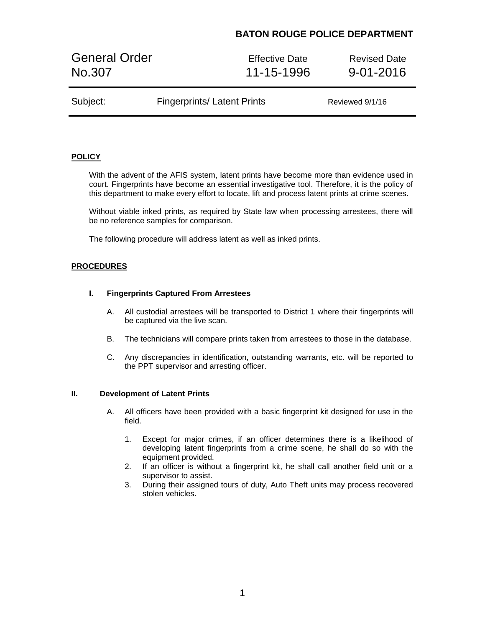# **BATON ROUGE POLICE DEPARTMENT**

General Order **Effective Date** Revised Date No.307 11-15-1996 9-01-2016

| Subject: | <b>Fingerprints/Latent Prints</b> | Reviewed 9/1/16 |
|----------|-----------------------------------|-----------------|

### **POLICY**

With the advent of the AFIS system, latent prints have become more than evidence used in court. Fingerprints have become an essential investigative tool. Therefore, it is the policy of this department to make every effort to locate, lift and process latent prints at crime scenes.

Without viable inked prints, as required by State law when processing arrestees, there will be no reference samples for comparison.

The following procedure will address latent as well as inked prints.

### **PROCEDURES**

#### **I. Fingerprints Captured From Arrestees**

- A. All custodial arrestees will be transported to District 1 where their fingerprints will be captured via the live scan.
- B. The technicians will compare prints taken from arrestees to those in the database.
- C. Any discrepancies in identification, outstanding warrants, etc. will be reported to the PPT supervisor and arresting officer.

#### **II. Development of Latent Prints**

- A. All officers have been provided with a basic fingerprint kit designed for use in the field.
	- 1. Except for major crimes, if an officer determines there is a likelihood of developing latent fingerprints from a crime scene, he shall do so with the equipment provided.
	- 2. If an officer is without a fingerprint kit, he shall call another field unit or a supervisor to assist.
	- 3. During their assigned tours of duty, Auto Theft units may process recovered stolen vehicles.